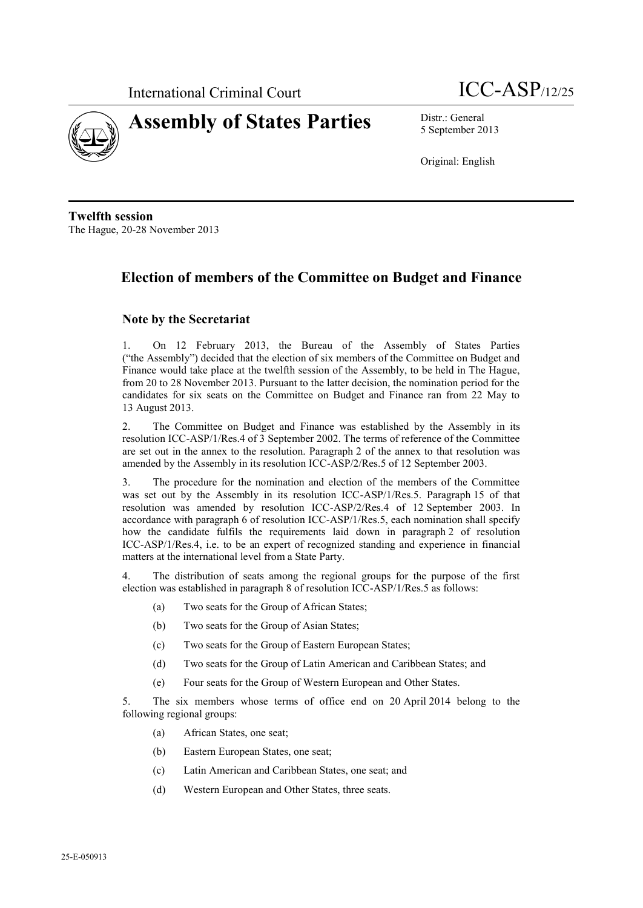



5 September 2013

Original: English

**Twelfth session** The Hague, 20-28 November 2013

## **Election of members of the Committee on Budget and Finance**

## **Note by the Secretariat**

1. On 12 February 2013, the Bureau of the Assembly of States Parties ("the Assembly") decided that the election of six members of the Committee on Budget and Finance would take place at the twelfth session of the Assembly, to be held in The Hague, from 20 to 28 November 2013. Pursuant to the latter decision, the nomination period for the candidates for six seats on the Committee on Budget and Finance ran from 22 May to 13 August 2013.

2. The Committee on Budget and Finance was established by the Assembly in its resolution ICC-ASP/1/Res.4 of 3 September 2002. The terms of reference of the Committee are set out in the annex to the resolution. Paragraph 2 of the annex to that resolution was amended by the Assembly in its resolution ICC-ASP/2/Res.5 of 12 September 2003.

3. The procedure for the nomination and election of the members of the Committee was set out by the Assembly in its resolution ICC-ASP/1/Res.5. Paragraph 15 of that resolution was amended by resolution ICC-ASP/2/Res.4 of 12 September 2003. In accordance with paragraph 6 of resolution ICC-ASP/1/Res.5, each nomination shall specify how the candidate fulfils the requirements laid down in paragraph 2 of resolution ICC-ASP/1/Res.4, i.e. to be an expert of recognized standing and experience in financial matters at the international level from a State Party.

4. The distribution of seats among the regional groups for the purpose of the first election was established in paragraph 8 of resolution ICC-ASP/1/Res.5 as follows:

- (a) Two seats for the Group of African States;
- (b) Two seats for the Group of Asian States;
- (c) Two seats for the Group of Eastern European States;
- (d) Two seats for the Group of Latin American and Caribbean States; and
- (e) Four seats for the Group of Western European and Other States.

5. The six members whose terms of office end on 20 April 2014 belong to the following regional groups:

- (a) African States, one seat;
- (b) Eastern European States, one seat;
- (c) Latin American and Caribbean States, one seat; and
- (d) Western European and Other States, three seats.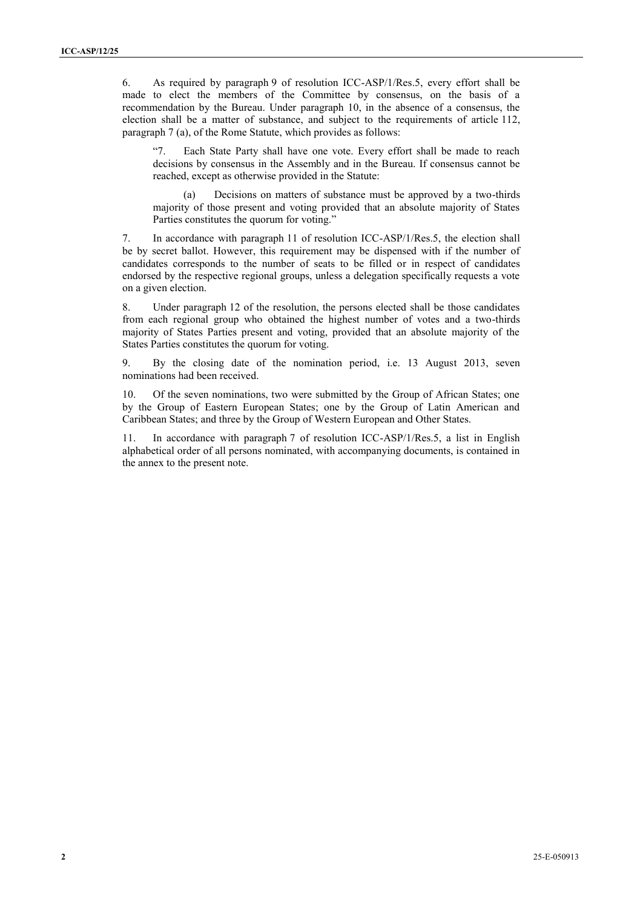6. As required by paragraph 9 of resolution ICC-ASP/1/Res.5, every effort shall be made to elect the members of the Committee by consensus, on the basis of a recommendation by the Bureau. Under paragraph 10, in the absence of a consensus, the election shall be a matter of substance, and subject to the requirements of article 112, paragraph 7 (a), of the Rome Statute, which provides as follows:

"7. Each State Party shall have one vote. Every effort shall be made to reach decisions by consensus in the Assembly and in the Bureau. If consensus cannot be reached, except as otherwise provided in the Statute:

(a) Decisions on matters of substance must be approved by a two-thirds majority of those present and voting provided that an absolute majority of States Parties constitutes the quorum for voting."

7. In accordance with paragraph 11 of resolution ICC-ASP/1/Res.5, the election shall be by secret ballot. However, this requirement may be dispensed with if the number of candidates corresponds to the number of seats to be filled or in respect of candidates endorsed by the respective regional groups, unless a delegation specifically requests a vote on a given election.

8. Under paragraph 12 of the resolution, the persons elected shall be those candidates from each regional group who obtained the highest number of votes and a two-thirds majority of States Parties present and voting, provided that an absolute majority of the States Parties constitutes the quorum for voting.

9. By the closing date of the nomination period, i.e. 13 August 2013, seven nominations had been received.

10. Of the seven nominations, two were submitted by the Group of African States; one by the Group of Eastern European States; one by the Group of Latin American and Caribbean States; and three by the Group of Western European and Other States.

11. In accordance with paragraph 7 of resolution ICC-ASP/1/Res.5, a list in English alphabetical order of all persons nominated, with accompanying documents, is contained in the annex to the present note.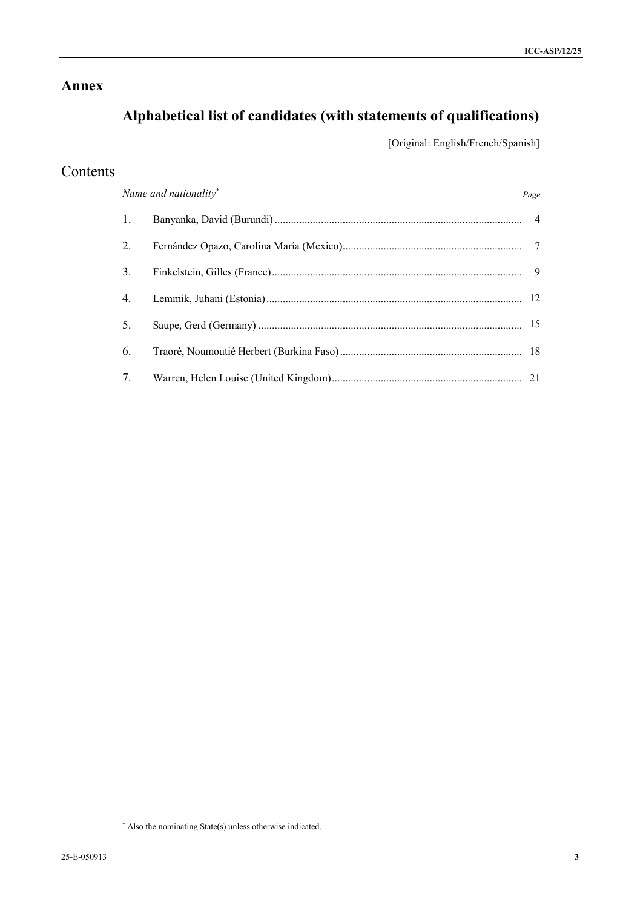## **Annex**

# **Alphabetical list of candidates (with statements of qualifications)**

[Original: English/French/Spanish]

## Contents

|                                 | Name and nationality* | Page           |
|---------------------------------|-----------------------|----------------|
| 1.                              |                       | $\overline{4}$ |
| 2.                              |                       |                |
| 3.                              |                       | 9              |
| 4.                              |                       |                |
| 5.                              |                       |                |
| 6.                              |                       |                |
| $7_{\scriptscriptstyle{\circ}}$ |                       |                |

 $\overline{a}$ 

Also the nominating State(s) unless otherwise indicated.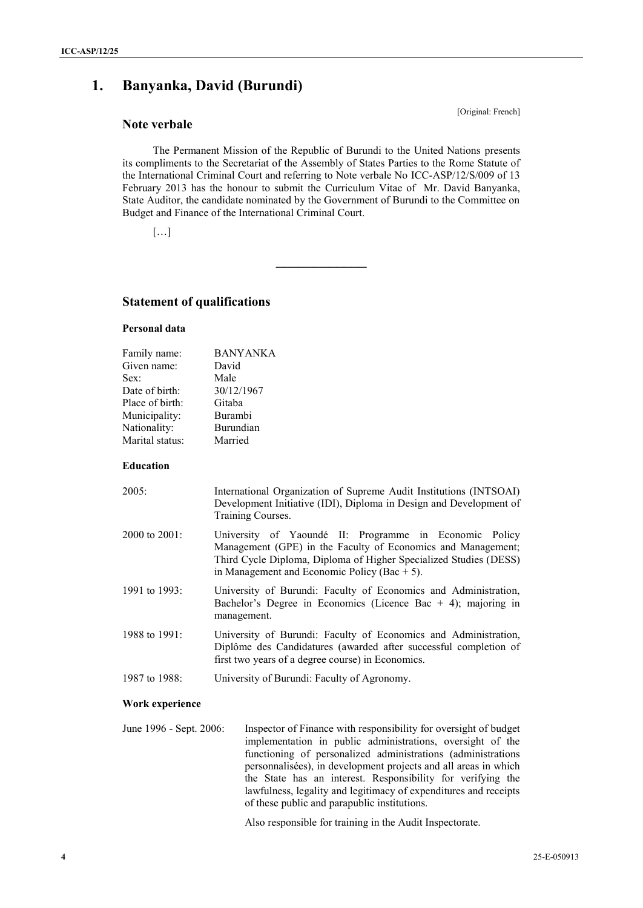## **1. Banyanka, David (Burundi)**

## **Note verbale**

The Permanent Mission of the Republic of Burundi to the United Nations presents its compliments to the Secretariat of the Assembly of States Parties to the Rome Statute of the International Criminal Court and referring to Note verbale No ICC-ASP/12/S/009 of 13 February 2013 has the honour to submit the Curriculum Vitae of Mr. David Banyanka, State Auditor, the candidate nominated by the Government of Burundi to the Committee on Budget and Finance of the International Criminal Court.

**\_\_\_\_\_\_\_\_\_\_\_\_**

[…]

## **Statement of qualifications**

#### **Personal data**

| <b>BANYANKA</b> |
|-----------------|
| David           |
| Male            |
| 30/12/1967      |
| Gitaba          |
| Burambi         |
| Burundian       |
| Married         |
|                 |

#### **Education**

| 2005:            | International Organization of Supreme Audit Institutions (INTSOAI)<br>Development Initiative (IDI), Diploma in Design and Development of<br>Training Courses.                                                                                  |
|------------------|------------------------------------------------------------------------------------------------------------------------------------------------------------------------------------------------------------------------------------------------|
| 2000 to $2001$ : | University of Yaoundé II: Programme in Economic Policy<br>Management (GPE) in the Faculty of Economics and Management;<br>Third Cycle Diploma, Diploma of Higher Specialized Studies (DESS)<br>in Management and Economic Policy (Bac $+ 5$ ). |
| 1991 to $1993$ : | University of Burundi: Faculty of Economics and Administration,<br>Bachelor's Degree in Economics (Licence Bac $+$ 4); majoring in<br>management.                                                                                              |
| 1988 to 1991:    | University of Burundi: Faculty of Economics and Administration,<br>Diplôme des Candidatures (awarded after successful completion of<br>first two years of a degree course) in Economics.                                                       |
| 1987 to 1988:    | University of Burundi: Faculty of Agronomy.                                                                                                                                                                                                    |

#### **Work experience**

June 1996 - Sept. 2006: Inspector of Finance with responsibility for oversight of budget implementation in public administrations, oversight of the functioning of personalized administrations (administrations personnalisées), in development projects and all areas in which the State has an interest. Responsibility for verifying the lawfulness, legality and legitimacy of expenditures and receipts of these public and parapublic institutions.

Also responsible for training in the Audit Inspectorate.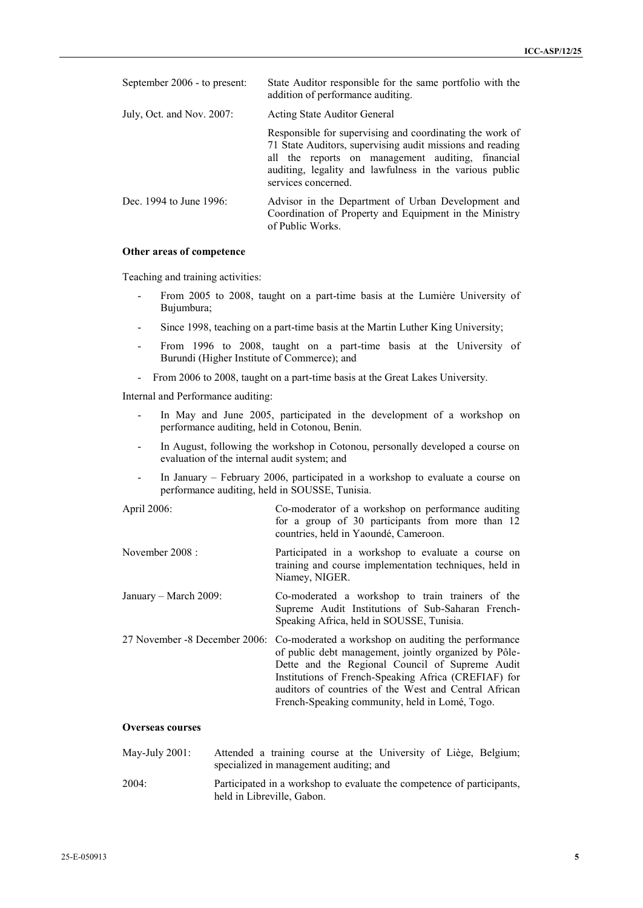| September 2006 - to present: | State Auditor responsible for the same portfolio with the<br>addition of performance auditing.                                                                                                                                                               |
|------------------------------|--------------------------------------------------------------------------------------------------------------------------------------------------------------------------------------------------------------------------------------------------------------|
| July, Oct. and Nov. 2007:    | Acting State Auditor General                                                                                                                                                                                                                                 |
|                              | Responsible for supervising and coordinating the work of<br>71 State Auditors, supervising audit missions and reading<br>all the reports on management auditing, financial<br>auditing, legality and lawfulness in the various public<br>services concerned. |
| Dec. 1994 to June 1996:      | Advisor in the Department of Urban Development and<br>Coordination of Property and Equipment in the Ministry<br>of Public Works.                                                                                                                             |

#### **Other areas of competence**

Teaching and training activities:

- From 2005 to 2008, taught on a part-time basis at the Lumière University of Bujumbura;
- Since 1998, teaching on a part-time basis at the Martin Luther King University;
- From 1996 to 2008, taught on a part-time basis at the University of Burundi (Higher Institute of Commerce); and
- From 2006 to 2008, taught on a part-time basis at the Great Lakes University.

Internal and Performance auditing:

- In May and June 2005, participated in the development of a workshop on performance auditing, held in Cotonou, Benin.
- In August, following the workshop in Cotonou, personally developed a course on evaluation of the internal audit system; and
- In January February 2006, participated in a workshop to evaluate a course on performance auditing, held in SOUSSE, Tunisia.

| April 2006:           | Co-moderator of a workshop on performance auditing<br>for a group of 30 participants from more than 12<br>countries, held in Yaoundé, Cameroon.                                                                                                                                                                                                                  |
|-----------------------|------------------------------------------------------------------------------------------------------------------------------------------------------------------------------------------------------------------------------------------------------------------------------------------------------------------------------------------------------------------|
| November $2008:$      | Participated in a workshop to evaluate a course on<br>training and course implementation techniques, held in<br>Niamey, NIGER.                                                                                                                                                                                                                                   |
| January – March 2009: | Co-moderated a workshop to train trainers of the<br>Supreme Audit Institutions of Sub-Saharan French-<br>Speaking Africa, held in SOUSSE, Tunisia.                                                                                                                                                                                                               |
|                       | 27 November -8 December 2006: Co-moderated a workshop on auditing the performance<br>of public debt management, jointly organized by Pôle-<br>Dette and the Regional Council of Supreme Audit<br>Institutions of French-Speaking Africa (CREFIAF) for<br>auditors of countries of the West and Central African<br>French-Speaking community, held in Lomé, Togo. |

#### **Overseas courses**

- May-July 2001: Attended a training course at the University of Liège, Belgium; specialized in management auditing; and
- 2004: Participated in a workshop to evaluate the competence of participants, held in Libreville, Gabon.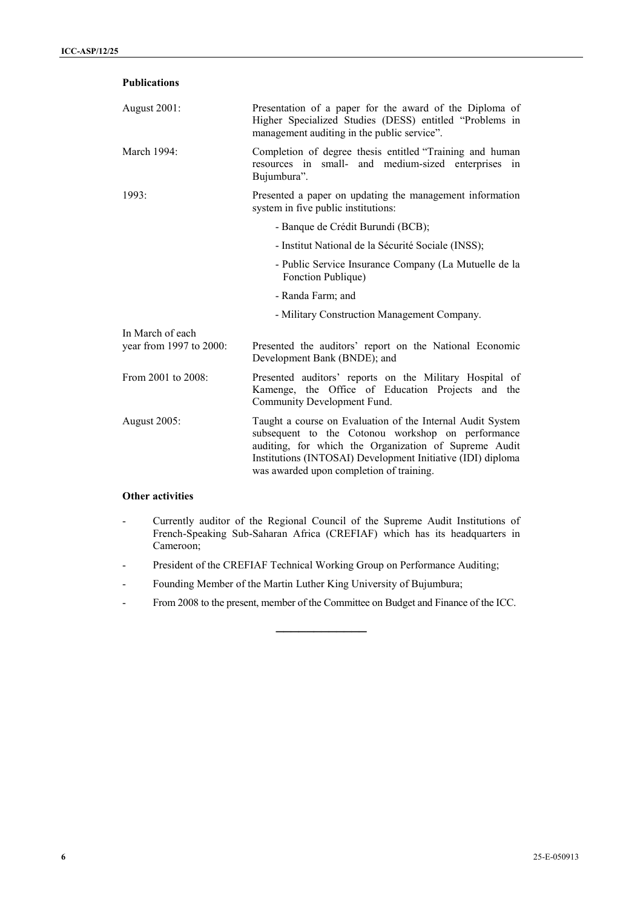| <b>Publications</b>                         |                                                                                                                                                                                                                                                                                     |
|---------------------------------------------|-------------------------------------------------------------------------------------------------------------------------------------------------------------------------------------------------------------------------------------------------------------------------------------|
| August 2001:                                | Presentation of a paper for the award of the Diploma of<br>Higher Specialized Studies (DESS) entitled "Problems in<br>management auditing in the public service".                                                                                                                   |
| March 1994:                                 | Completion of degree thesis entitled "Training and human<br>resources in small- and medium-sized enterprises in<br>Bujumbura".                                                                                                                                                      |
| 1993:                                       | Presented a paper on updating the management information<br>system in five public institutions:                                                                                                                                                                                     |
|                                             | - Banque de Crédit Burundi (BCB);                                                                                                                                                                                                                                                   |
|                                             | - Institut National de la Sécurité Sociale (INSS);                                                                                                                                                                                                                                  |
|                                             | - Public Service Insurance Company (La Mutuelle de la<br>Fonction Publique)                                                                                                                                                                                                         |
|                                             | - Randa Farm; and                                                                                                                                                                                                                                                                   |
|                                             | - Military Construction Management Company.                                                                                                                                                                                                                                         |
| In March of each<br>year from 1997 to 2000: | Presented the auditors' report on the National Economic<br>Development Bank (BNDE); and                                                                                                                                                                                             |
| From 2001 to 2008:                          | Presented auditors' reports on the Military Hospital of<br>Kamenge, the Office of Education Projects and the<br>Community Development Fund.                                                                                                                                         |
| <b>August 2005:</b>                         | Taught a course on Evaluation of the Internal Audit System<br>subsequent to the Cotonou workshop on performance<br>auditing, for which the Organization of Supreme Audit<br>Institutions (INTOSAI) Development Initiative (IDI) diploma<br>was awarded upon completion of training. |

## **Other activities**

- Currently auditor of the Regional Council of the Supreme Audit Institutions of French-Speaking Sub-Saharan Africa (CREFIAF) which has its headquarters in Cameroon;
- President of the CREFIAF Technical Working Group on Performance Auditing;
- Founding Member of the Martin Luther King University of Bujumbura;
- From 2008 to the present, member of the Committee on Budget and Finance of the ICC.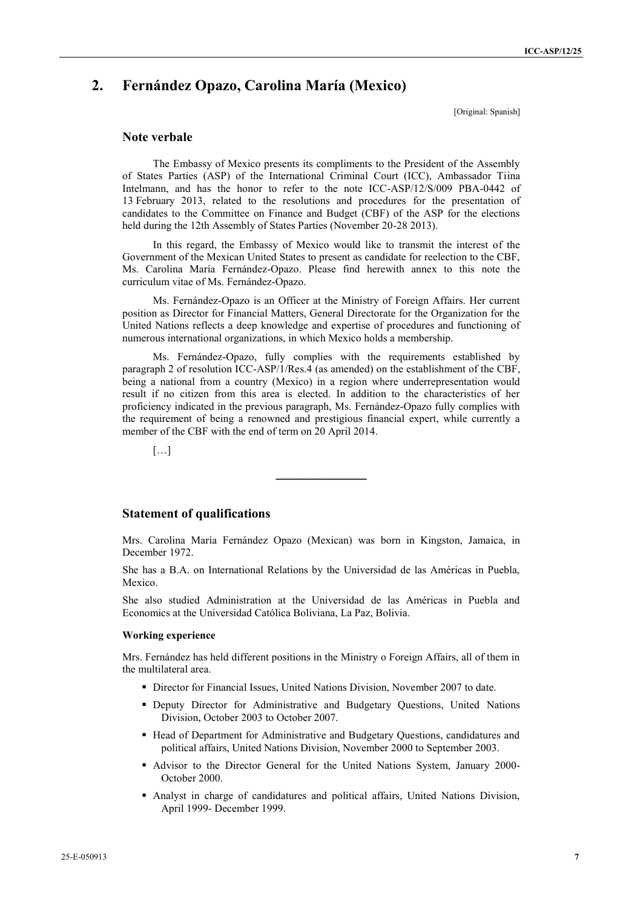## **2. Fernández Opazo, Carolina María (Mexico)**

[Original: Spanish]

## **Note verbale**

The Embassy of Mexico presents its compliments to the President of the Assembly of States Parties (ASP) of the International Criminal Court (ICC), Ambassador Tiina Intelmann, and has the honor to refer to the note ICC-ASP/12/S/009 PBA-0442 of 13 February 2013, related to the resolutions and procedures for the presentation of candidates to the Committee on Finance and Budget (CBF) of the ASP for the elections held during the 12th Assembly of States Parties (November 20-28 2013).

In this regard, the Embassy of Mexico would like to transmit the interest of the Government of the Mexican United States to present as candidate for reelection to the CBF, Ms. Carolina María Fernández-Opazo. Please find herewith annex to this note the curriculum vitae of Ms. Fernández-Opazo.

Ms. Fernández-Opazo is an Officer at the Ministry of Foreign Affairs. Her current position as Director for Financial Matters, General Directorate for the Organization for the United Nations reflects a deep knowledge and expertise of procedures and functioning of numerous international organizations, in which Mexico holds a membership.

Ms. Fernández-Opazo, fully complies with the requirements established by paragraph 2 of resolution ICC-ASP/1/Res.4 (as amended) on the establishment of the CBF, being a national from a country (Mexico) in a region where underrepresentation would result if no citizen from this area is elected. In addition to the characteristics of her proficiency indicated in the previous paragraph, Ms. Fernández-Opazo fully complies with the requirement of being a renowned and prestigious financial expert, while currently a member of the CBF with the end of term on 20 April 2014.

[…]

## **Statement of qualifications**

Mrs. Carolina María Fernández Opazo (Mexican) was born in Kingston, Jamaica, in December 1972.

**\_\_\_\_\_\_\_\_\_\_\_\_**

She has a B.A. on International Relations by the Universidad de las Américas in Puebla, Mexico.

She also studied Administration at the Universidad de las Américas in Puebla and Economics at the Universidad Católica Boliviana, La Paz, Bolivia.

#### **Working experience**

Mrs. Fernández has held different positions in the Ministry o Foreign Affairs, all of them in the multilateral area.

- **Director for Financial Issues, United Nations Division, November 2007 to date.**
- Deputy Director for Administrative and Budgetary Questions, United Nations Division, October 2003 to October 2007.
- Head of Department for Administrative and Budgetary Questions, candidatures and political affairs, United Nations Division, November 2000 to September 2003.
- Advisor to the Director General for the United Nations System, January 2000- October 2000.
- Analyst in charge of candidatures and political affairs, United Nations Division, April 1999- December 1999.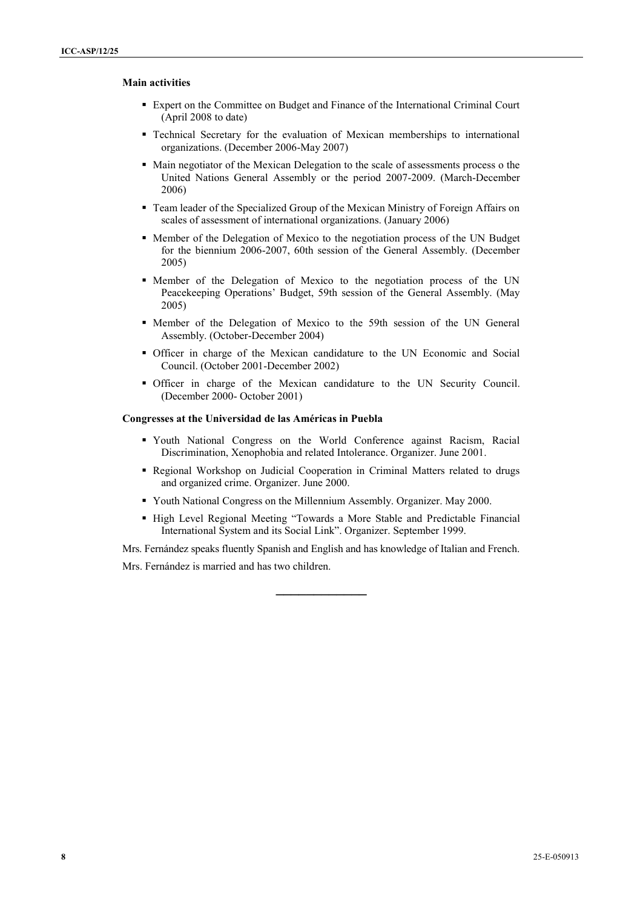### **Main activities** 8

- Expert on the Committee on Budget and Finance of the International Criminal Court (April 2008 to date)
- Technical Secretary for the evaluation of Mexican memberships to international organizations. (December 2006-May 2007)
- Main negotiator of the Mexican Delegation to the scale of assessments process o the United Nations General Assembly or the period 2007-2009. (March-December 2006)
- Team leader of the Specialized Group of the Mexican Ministry of Foreign Affairs on scales of assessment of international organizations. (January 2006)
- Member of the Delegation of Mexico to the negotiation process of the UN Budget for the biennium 2006-2007, 60th session of the General Assembly. (December 2005)
- Member of the Delegation of Mexico to the negotiation process of the UN Peacekeeping Operations' Budget, 59th session of the General Assembly. (May 2005)
- Member of the Delegation of Mexico to the 59th session of the UN General Assembly. (October-December 2004)
- Officer in charge of the Mexican candidature to the UN Economic and Social Council. (October 2001-December 2002)
- Officer in charge of the Mexican candidature to the UN Security Council. (December 2000- October 2001)

#### **Congresses at the Universidad de las Américas in Puebla**

- Youth National Congress on the World Conference against Racism, Racial Discrimination, Xenophobia and related Intolerance. Organizer. June 2001.
- Regional Workshop on Judicial Cooperation in Criminal Matters related to drugs and organized crime. Organizer. June 2000.
- Youth National Congress on the Millennium Assembly. Organizer. May 2000.
- High Level Regional Meeting "Towards a More Stable and Predictable Financial International System and its Social Link". Organizer. September 1999.

Mrs. Fernández speaks fluently Spanish and English and has knowledge of Italian and French.

**\_\_\_\_\_\_\_\_\_\_\_\_**

Mrs. Fernández is married and has two children.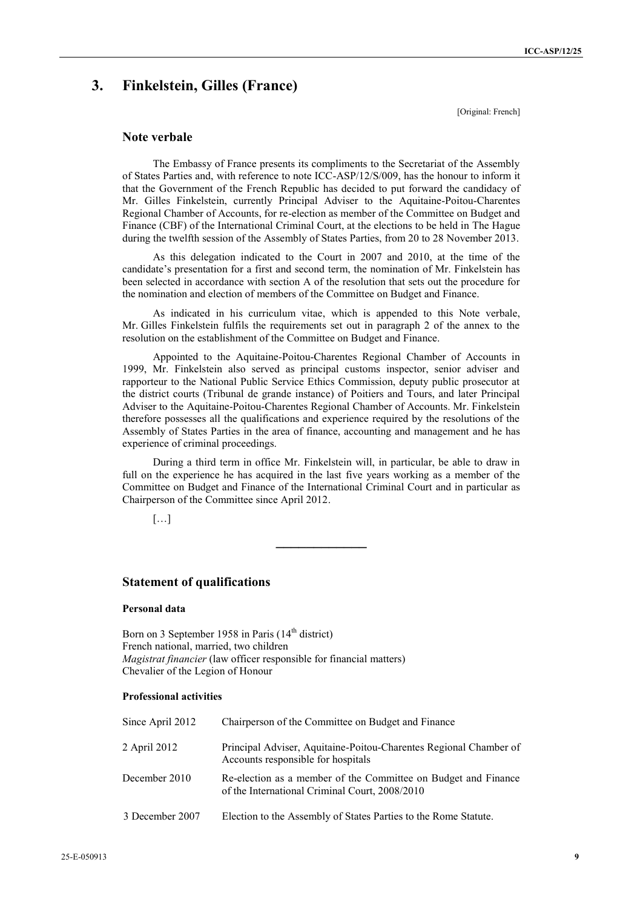## **3. Finkelstein, Gilles (France)**

[Original: French]

## **Note verbale**

The Embassy of France presents its compliments to the Secretariat of the Assembly of States Parties and, with reference to note ICC-ASP/12/S/009, has the honour to inform it that the Government of the French Republic has decided to put forward the candidacy of Mr. Gilles Finkelstein, currently Principal Adviser to the Aquitaine-Poitou-Charentes Regional Chamber of Accounts, for re-election as member of the Committee on Budget and Finance (CBF) of the International Criminal Court, at the elections to be held in The Hague during the twelfth session of the Assembly of States Parties, from 20 to 28 November 2013.

As this delegation indicated to the Court in 2007 and 2010, at the time of the candidate's presentation for a first and second term, the nomination of Mr. Finkelstein has been selected in accordance with section A of the resolution that sets out the procedure for the nomination and election of members of the Committee on Budget and Finance.

As indicated in his curriculum vitae, which is appended to this Note verbale, Mr. Gilles Finkelstein fulfils the requirements set out in paragraph 2 of the annex to the resolution on the establishment of the Committee on Budget and Finance.

Appointed to the Aquitaine-Poitou-Charentes Regional Chamber of Accounts in 1999, Mr. Finkelstein also served as principal customs inspector, senior adviser and rapporteur to the National Public Service Ethics Commission, deputy public prosecutor at the district courts (Tribunal de grande instance) of Poitiers and Tours, and later Principal Adviser to the Aquitaine-Poitou-Charentes Regional Chamber of Accounts. Mr. Finkelstein therefore possesses all the qualifications and experience required by the resolutions of the Assembly of States Parties in the area of finance, accounting and management and he has experience of criminal proceedings.

During a third term in office Mr. Finkelstein will, in particular, be able to draw in full on the experience he has acquired in the last five years working as a member of the Committee on Budget and Finance of the International Criminal Court and in particular as Chairperson of the Committee since April 2012.

**\_\_\_\_\_\_\_\_\_\_\_\_**

[…]

## **Statement of qualifications**

## **Personal data**

Born on 3 September 1958 in Paris (14<sup>th</sup> district) French national, married, two children *Magistrat financier* (law officer responsible for financial matters) Chevalier of the Legion of Honour

## **Professional activities**

| Since April 2012 | Chairperson of the Committee on Budget and Finance                                                               |
|------------------|------------------------------------------------------------------------------------------------------------------|
| 2 April 2012     | Principal Adviser, Aquitaine-Poitou-Charentes Regional Chamber of<br>Accounts responsible for hospitals          |
| December 2010    | Re-election as a member of the Committee on Budget and Finance<br>of the International Criminal Court, 2008/2010 |
| 3 December 2007  | Election to the Assembly of States Parties to the Rome Statute.                                                  |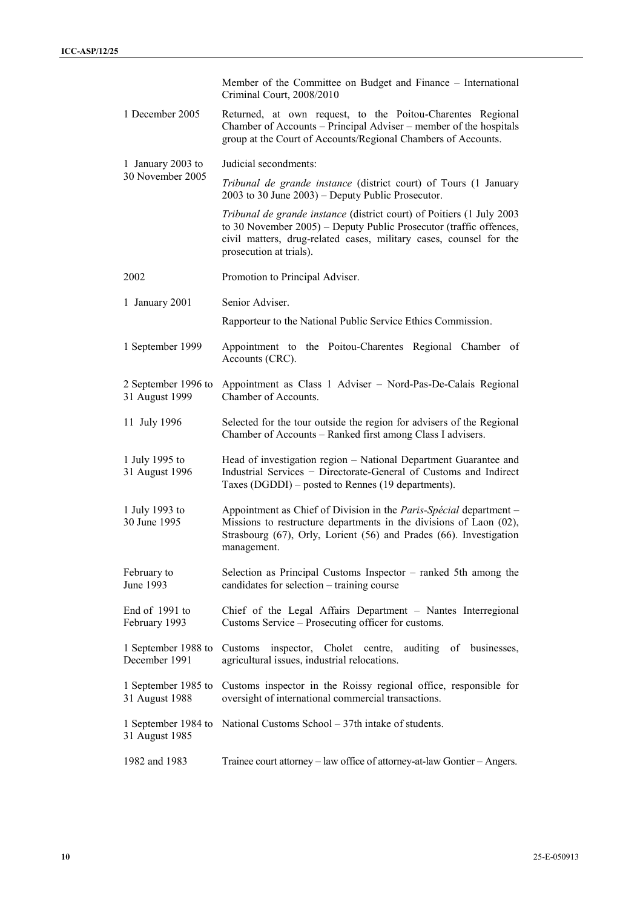|                                       | Member of the Committee on Budget and Finance – International<br>Criminal Court, 2008/2010                                                                                                                                                   |  |  |
|---------------------------------------|----------------------------------------------------------------------------------------------------------------------------------------------------------------------------------------------------------------------------------------------|--|--|
| 1 December 2005                       | Returned, at own request, to the Poitou-Charentes Regional<br>Chamber of Accounts – Principal Adviser – member of the hospitals<br>group at the Court of Accounts/Regional Chambers of Accounts.                                             |  |  |
| 1 January 2003 to                     | Judicial secondments:                                                                                                                                                                                                                        |  |  |
| 30 November 2005                      | Tribunal de grande instance (district court) of Tours (1 January<br>$2003$ to 30 June $2003$ ) – Deputy Public Prosecutor.                                                                                                                   |  |  |
|                                       | Tribunal de grande instance (district court) of Poitiers (1 July 2003<br>to 30 November 2005) – Deputy Public Prosecutor (traffic offences,<br>civil matters, drug-related cases, military cases, counsel for the<br>prosecution at trials). |  |  |
| 2002                                  | Promotion to Principal Adviser.                                                                                                                                                                                                              |  |  |
| 1 January 2001                        | Senior Adviser.                                                                                                                                                                                                                              |  |  |
|                                       | Rapporteur to the National Public Service Ethics Commission.                                                                                                                                                                                 |  |  |
| 1 September 1999                      | Appointment to the Poitou-Charentes Regional Chamber of<br>Accounts (CRC).                                                                                                                                                                   |  |  |
| 2 September 1996 to<br>31 August 1999 | Appointment as Class 1 Adviser - Nord-Pas-De-Calais Regional<br>Chamber of Accounts.                                                                                                                                                         |  |  |
| 11 July 1996                          | Selected for the tour outside the region for advisers of the Regional<br>Chamber of Accounts - Ranked first among Class I advisers.                                                                                                          |  |  |
| 1 July 1995 to<br>31 August 1996      | Head of investigation region - National Department Guarantee and<br>Industrial Services - Directorate-General of Customs and Indirect<br>Taxes (DGDDI) – posted to Rennes (19 departments).                                                  |  |  |
| 1 July 1993 to<br>30 June 1995        | Appointment as Chief of Division in the Paris-Spécial department -<br>Missions to restructure departments in the divisions of Laon (02),<br>Strasbourg (67), Orly, Lorient (56) and Prades (66). Investigation<br>management.                |  |  |
| February to<br>June 1993              | Selection as Principal Customs Inspector – ranked 5th among the<br>candidates for selection – training course                                                                                                                                |  |  |
| End of 1991 to<br>February 1993       | Chief of the Legal Affairs Department - Nantes Interregional<br>Customs Service – Prosecuting officer for customs.                                                                                                                           |  |  |
| 1 September 1988 to<br>December 1991  | inspector, Cholet centre,<br>Customs<br>auditing of businesses,<br>agricultural issues, industrial relocations.                                                                                                                              |  |  |
| 1 September 1985 to<br>31 August 1988 | Customs inspector in the Roissy regional office, responsible for<br>oversight of international commercial transactions.                                                                                                                      |  |  |
| 1 September 1984 to<br>31 August 1985 | National Customs School – 37th intake of students.                                                                                                                                                                                           |  |  |
| 1982 and 1983                         | Trainee court attorney – law office of attorney-at-law Gontier – Angers.                                                                                                                                                                     |  |  |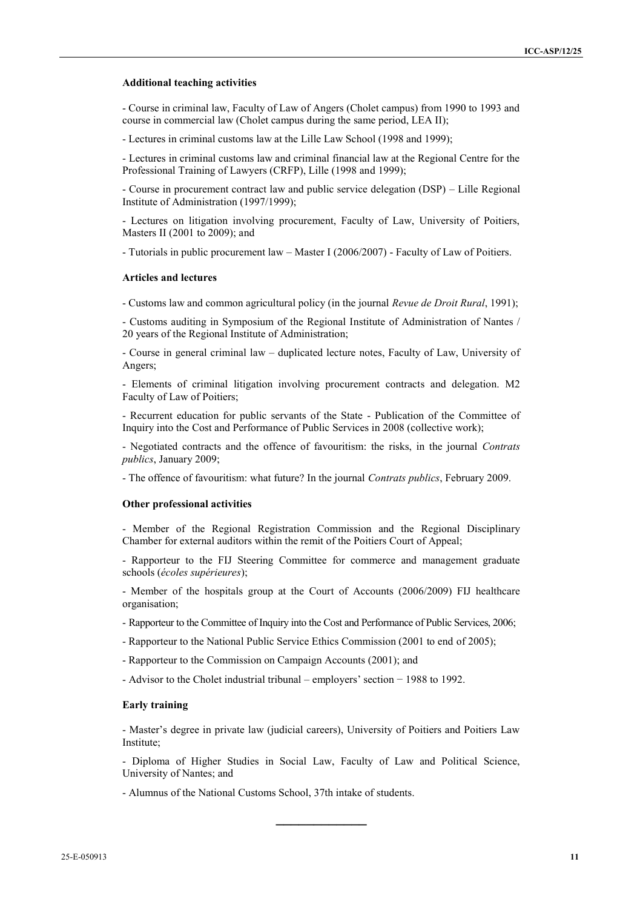#### **Additional teaching activities**

- Course in criminal law, Faculty of Law of Angers (Cholet campus) from 1990 to 1993 and course in commercial law (Cholet campus during the same period, LEA II);

- Lectures in criminal customs law at the Lille Law School (1998 and 1999);

- Lectures in criminal customs law and criminal financial law at the Regional Centre for the Professional Training of Lawyers (CRFP), Lille (1998 and 1999);

- Course in procurement contract law and public service delegation (DSP) – Lille Regional Institute of Administration (1997/1999);

- Lectures on litigation involving procurement, Faculty of Law, University of Poitiers, Masters II (2001 to 2009); and

- Tutorials in public procurement law – Master I (2006/2007) - Faculty of Law of Poitiers.

#### **Articles and lectures**

- Customs law and common agricultural policy (in the journal *Revue de Droit Rural*, 1991);

- Customs auditing in Symposium of the Regional Institute of Administration of Nantes / 20 years of the Regional Institute of Administration;

- Course in general criminal law – duplicated lecture notes, Faculty of Law, University of Angers;

- Elements of criminal litigation involving procurement contracts and delegation. M2 Faculty of Law of Poitiers;

- Recurrent education for public servants of the State - Publication of the Committee of Inquiry into the Cost and Performance of Public Services in 2008 (collective work);

- Negotiated contracts and the offence of favouritism: the risks, in the journal *Contrats publics*, January 2009;

- The offence of favouritism: what future? In the journal *Contrats publics*, February 2009.

#### **Other professional activities**

- Member of the Regional Registration Commission and the Regional Disciplinary Chamber for external auditors within the remit of the Poitiers Court of Appeal;

- Rapporteur to the FIJ Steering Committee for commerce and management graduate schools (*écoles supérieures*);

- Member of the hospitals group at the Court of Accounts (2006/2009) FIJ healthcare organisation;

- Rapporteur to the Committee of Inquiry into the Cost and Performance of Public Services, 2006;

- Rapporteur to the National Public Service Ethics Commission (2001 to end of 2005);

- Rapporteur to the Commission on Campaign Accounts (2001); and

- Advisor to the Cholet industrial tribunal – employers' section − 1988 to 1992.

### **Early training**

- Master's degree in private law (judicial careers), University of Poitiers and Poitiers Law Institute;

- Diploma of Higher Studies in Social Law, Faculty of Law and Political Science, University of Nantes; and

**\_\_\_\_\_\_\_\_\_\_\_\_**

- Alumnus of the National Customs School, 37th intake of students.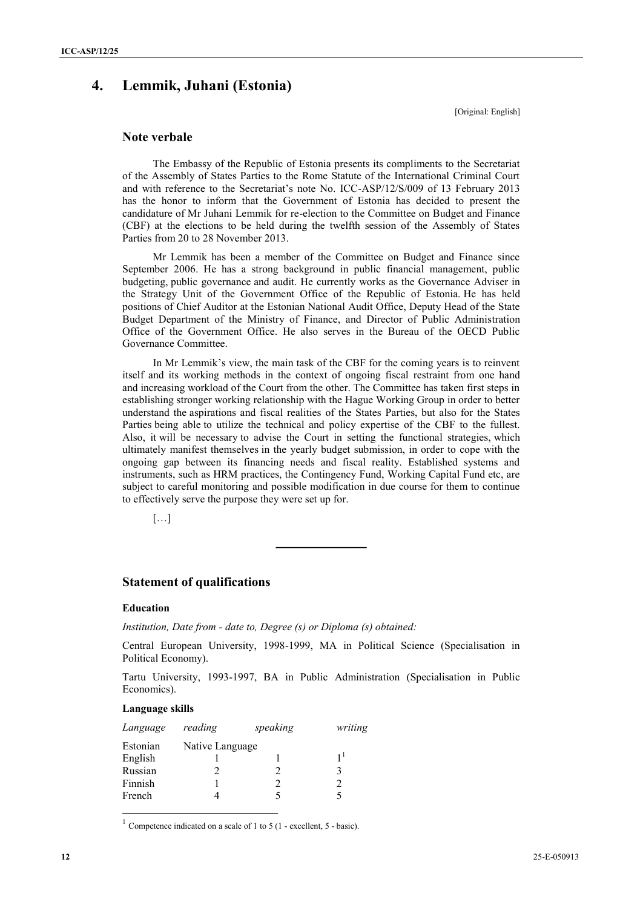## **4. Lemmik, Juhani (Estonia)**

[Original: English]

## **Note verbale**

The Embassy of the Republic of Estonia presents its compliments to the Secretariat of the Assembly of States Parties to the Rome Statute of the International Criminal Court and with reference to the Secretariat's note No. ICC-ASP/12/S/009 of 13 February 2013 has the honor to inform that the Government of Estonia has decided to present the candidature of Mr Juhani Lemmik for re-election to the Committee on Budget and Finance (CBF) at the elections to be held during the twelfth session of the Assembly of States Parties from 20 to 28 November 2013.

Mr Lemmik has been a member of the Committee on Budget and Finance since September 2006. He has a strong background in public financial management, public budgeting, public governance and audit. He currently works as the Governance Adviser in the Strategy Unit of the Government Office of the Republic of Estonia. He has held positions of Chief Auditor at the Estonian National Audit Office, Deputy Head of the State Budget Department of the Ministry of Finance, and Director of Public Administration Office of the Government Office. He also serves in the Bureau of the OECD Public Governance Committee.

In Mr Lemmik's view, the main task of the CBF for the coming years is to reinvent itself and its working methods in the context of ongoing fiscal restraint from one hand and increasing workload of the Court from the other. The Committee has taken first steps in establishing stronger working relationship with the Hague Working Group in order to better understand the aspirations and fiscal realities of the States Parties, but also for the States Parties being able to utilize the technical and policy expertise of the CBF to the fullest. Also, it will be necessary to advise the Court in setting the functional strategies, which ultimately manifest themselves in the yearly budget submission, in order to cope with the ongoing gap between its financing needs and fiscal reality. Established systems and instruments, such as HRM practices, the Contingency Fund, Working Capital Fund etc, are subject to careful monitoring and possible modification in due course for them to continue to effectively serve the purpose they were set up for.

**\_\_\_\_\_\_\_\_\_\_\_\_**

 $[...]$ 

## **Statement of qualifications**

## **Education**

*Institution, Date from - date to, Degree (s) or Diploma (s) obtained:*

Central European University, 1998-1999, MA in Political Science (Specialisation in Political Economy).

Tartu University, 1993-1997, BA in Public Administration (Specialisation in Public Economics).

#### **Language skills**

 $\overline{a}$ 

| Language | reading         | speaking | writing |
|----------|-----------------|----------|---------|
| Estonian | Native Language |          |         |
| English  |                 |          |         |
| Russian  |                 |          | 3       |
| Finnish  |                 |          |         |
| French   |                 |          |         |
|          |                 |          |         |

<sup>1</sup> Competence indicated on a scale of 1 to 5 (1 - excellent, 5 - basic).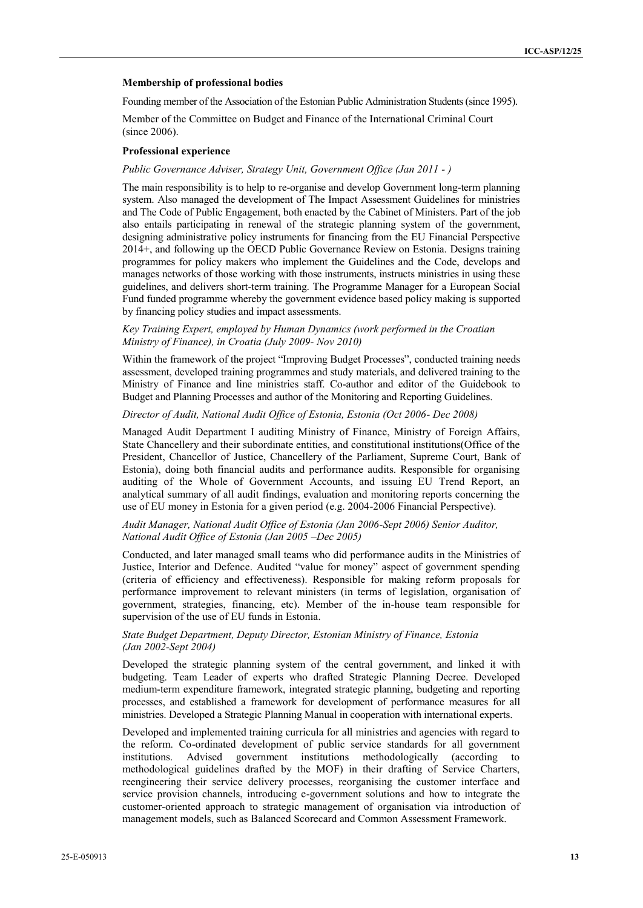#### **Membership of professional bodies**

Founding member of the Association of the Estonian Public Administration Students (since 1995).

Member of the Committee on Budget and Finance of the International Criminal Court (since 2006).

#### **Professional experience**

#### *Public Governance Adviser, Strategy Unit, Government Office (Jan 2011 - )*

The main responsibility is to help to re-organise and develop Government long-term planning system. Also managed the development of The Impact Assessment Guidelines for ministries and The Code of Public Engagement, both enacted by the Cabinet of Ministers. Part of the job also entails participating in renewal of the strategic planning system of the government, designing administrative policy instruments for financing from the EU Financial Perspective 2014+, and following up the OECD Public Governance Review on Estonia. Designs training programmes for policy makers who implement the Guidelines and the Code, develops and manages networks of those working with those instruments, instructs ministries in using these guidelines, and delivers short-term training. The Programme Manager for a European Social Fund funded programme whereby the government evidence based policy making is supported by financing policy studies and impact assessments.

#### *Key Training Expert, employed by Human Dynamics (work performed in the Croatian Ministry of Finance), in Croatia (July 2009- Nov 2010)*

Within the framework of the project "Improving Budget Processes", conducted training needs assessment, developed training programmes and study materials, and delivered training to the Ministry of Finance and line ministries staff. Co-author and editor of the Guidebook to Budget and Planning Processes and author of the Monitoring and Reporting Guidelines.

#### *Director of Audit, National Audit Office of Estonia, Estonia (Oct 2006- Dec 2008)*

Managed Audit Department I auditing Ministry of Finance, Ministry of Foreign Affairs, State Chancellery and their subordinate entities, and constitutional institutions(Office of the President, Chancellor of Justice, Chancellery of the Parliament, Supreme Court, Bank of Estonia), doing both financial audits and performance audits. Responsible for organising auditing of the Whole of Government Accounts, and issuing EU Trend Report, an analytical summary of all audit findings, evaluation and monitoring reports concerning the use of EU money in Estonia for a given period (e.g. 2004-2006 Financial Perspective).

## *Audit Manager, National Audit Office of Estonia (Jan 2006-Sept 2006) Senior Auditor, National Audit Office of Estonia (Jan 2005 –Dec 2005)*

Conducted, and later managed small teams who did performance audits in the Ministries of Justice, Interior and Defence. Audited "value for money" aspect of government spending (criteria of efficiency and effectiveness). Responsible for making reform proposals for performance improvement to relevant ministers (in terms of legislation, organisation of government, strategies, financing, etc). Member of the in-house team responsible for supervision of the use of EU funds in Estonia.

### *State Budget Department, Deputy Director, Estonian Ministry of Finance, Estonia (Jan 2002-Sept 2004)*

Developed the strategic planning system of the central government, and linked it with budgeting. Team Leader of experts who drafted Strategic Planning Decree. Developed medium-term expenditure framework, integrated strategic planning, budgeting and reporting processes, and established a framework for development of performance measures for all ministries. Developed a Strategic Planning Manual in cooperation with international experts.

Developed and implemented training curricula for all ministries and agencies with regard to the reform. Co-ordinated development of public service standards for all government institutions. Advised government institutions methodologically (according to methodological guidelines drafted by the MOF) in their drafting of Service Charters, reengineering their service delivery processes, reorganising the customer interface and service provision channels, introducing e-government solutions and how to integrate the customer-oriented approach to strategic management of organisation via introduction of management models, such as Balanced Scorecard and Common Assessment Framework.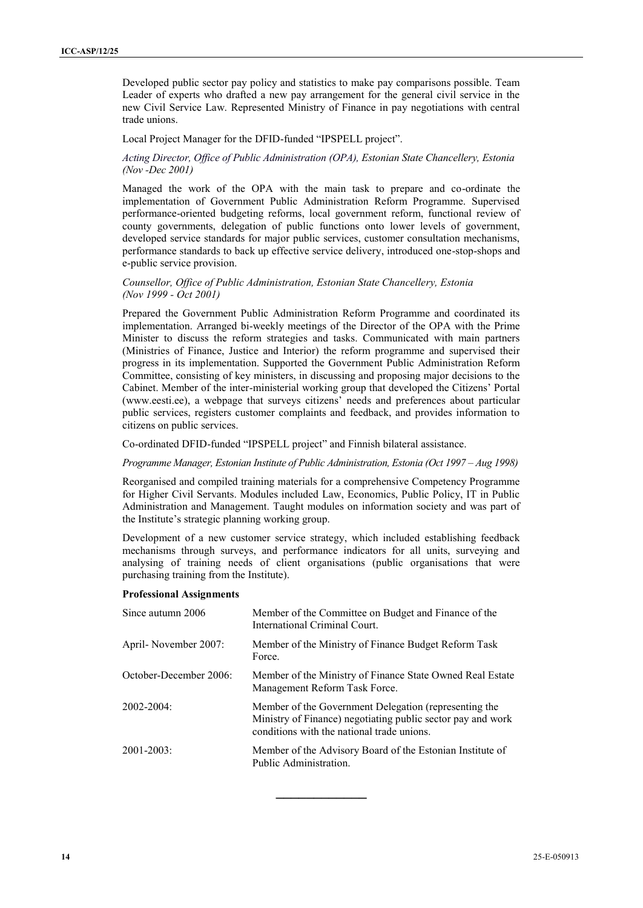Developed public sector pay policy and statistics to make pay comparisons possible. Team Leader of experts who drafted a new pay arrangement for the general civil service in the new Civil Service Law. Represented Ministry of Finance in pay negotiations with central trade unions.

Local Project Manager for the DFID-funded "IPSPELL project".

## *Acting Director, Office of Public Administration (OPA), Estonian State Chancellery, Estonia (Nov -Dec 2001)*

Managed the work of the OPA with the main task to prepare and co-ordinate the implementation of Government Public Administration Reform Programme. Supervised performance-oriented budgeting reforms, local government reform, functional review of county governments, delegation of public functions onto lower levels of government, developed service standards for major public services, customer consultation mechanisms, performance standards to back up effective service delivery, introduced one-stop-shops and e-public service provision.

## *Counsellor, Office of Public Administration, Estonian State Chancellery, Estonia (Nov 1999 - Oct 2001)*

Prepared the Government Public Administration Reform Programme and coordinated its implementation. Arranged bi-weekly meetings of the Director of the OPA with the Prime Minister to discuss the reform strategies and tasks. Communicated with main partners (Ministries of Finance, Justice and Interior) the reform programme and supervised their progress in its implementation. Supported the Government Public Administration Reform Committee, consisting of key ministers, in discussing and proposing major decisions to the Cabinet. Member of the inter-ministerial working group that developed the Citizens' Portal (www.eesti.ee), a webpage that surveys citizens' needs and preferences about particular public services, registers customer complaints and feedback, and provides information to citizens on public services.

Co-ordinated DFID-funded "IPSPELL project" and Finnish bilateral assistance.

#### *Programme Manager, Estonian Institute of Public Administration, Estonia (Oct 1997 – Aug 1998)*

Reorganised and compiled training materials for a comprehensive Competency Programme for Higher Civil Servants. Modules included Law, Economics, Public Policy, IT in Public Administration and Management. Taught modules on information society and was part of the Institute's strategic planning working group.

Development of a new customer service strategy, which included establishing feedback mechanisms through surveys, and performance indicators for all units, surveying and analysing of training needs of client organisations (public organisations that were purchasing training from the Institute).

#### **Professional Assignments**

| Since autumn 2006      | Member of the Committee on Budget and Finance of the<br>International Criminal Court.                                                                             |
|------------------------|-------------------------------------------------------------------------------------------------------------------------------------------------------------------|
| April-November 2007:   | Member of the Ministry of Finance Budget Reform Task<br>Force.                                                                                                    |
| October-December 2006: | Member of the Ministry of Finance State Owned Real Estate<br>Management Reform Task Force.                                                                        |
| $2002 - 2004$          | Member of the Government Delegation (representing the<br>Ministry of Finance) negotiating public sector pay and work<br>conditions with the national trade unions |
| $2001 - 2003$ :        | Member of the Advisory Board of the Estonian Institute of<br>Public Administration                                                                                |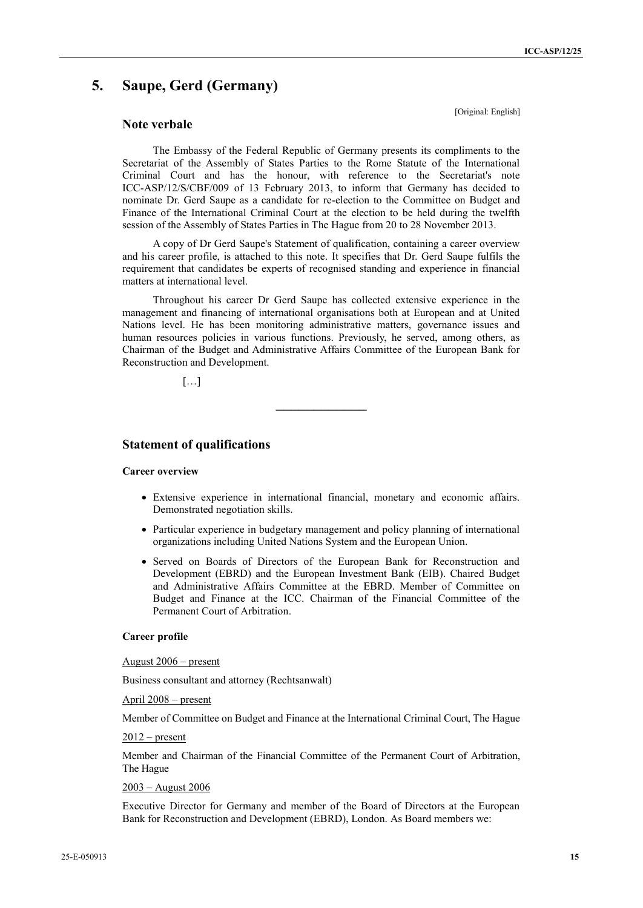## **5. Saupe, Gerd (Germany)**

## **Note verbale**

The Embassy of the Federal Republic of Germany presents its compliments to the Secretariat of the Assembly of States Parties to the Rome Statute of the International Criminal Court and has the honour, with reference to the Secretariat's note ICC-ASP/12/S/CBF/009 of 13 February 2013, to inform that Germany has decided to nominate Dr. Gerd Saupe as a candidate for re-election to the Committee on Budget and Finance of the International Criminal Court at the election to be held during the twelfth session of the Assembly of States Parties in The Hague from 20 to 28 November 2013.

A copy of Dr Gerd Saupe's Statement of qualification, containing a career overview and his career profile, is attached to this note. It specifies that Dr. Gerd Saupe fulfils the requirement that candidates be experts of recognised standing and experience in financial matters at international level.

Throughout his career Dr Gerd Saupe has collected extensive experience in the management and financing of international organisations both at European and at United Nations level. He has been monitoring administrative matters, governance issues and human resources policies in various functions. Previously, he served, among others, as Chairman of the Budget and Administrative Affairs Committee of the European Bank for Reconstruction and Development.

**\_\_\_\_\_\_\_\_\_\_\_\_**

[…]

## **Statement of qualifications**

#### **Career overview**

- Extensive experience in international financial, monetary and economic affairs. Demonstrated negotiation skills.
- Particular experience in budgetary management and policy planning of international organizations including United Nations System and the European Union.
- Served on Boards of Directors of the European Bank for Reconstruction and Development (EBRD) and the European Investment Bank (EIB). Chaired Budget and Administrative Affairs Committee at the EBRD. Member of Committee on Budget and Finance at the ICC. Chairman of the Financial Committee of the Permanent Court of Arbitration.

#### **Career profile**

#### August 2006 – present

Business consultant and attorney (Rechtsanwalt)

April 2008 – present

Member of Committee on Budget and Finance at the International Criminal Court, The Hague

#### $2012$  – present

Member and Chairman of the Financial Committee of the Permanent Court of Arbitration, The Hague

## 2003 – August 2006

Executive Director for Germany and member of the Board of Directors at the European Bank for Reconstruction and Development (EBRD), London. As Board members we:

[Original: English]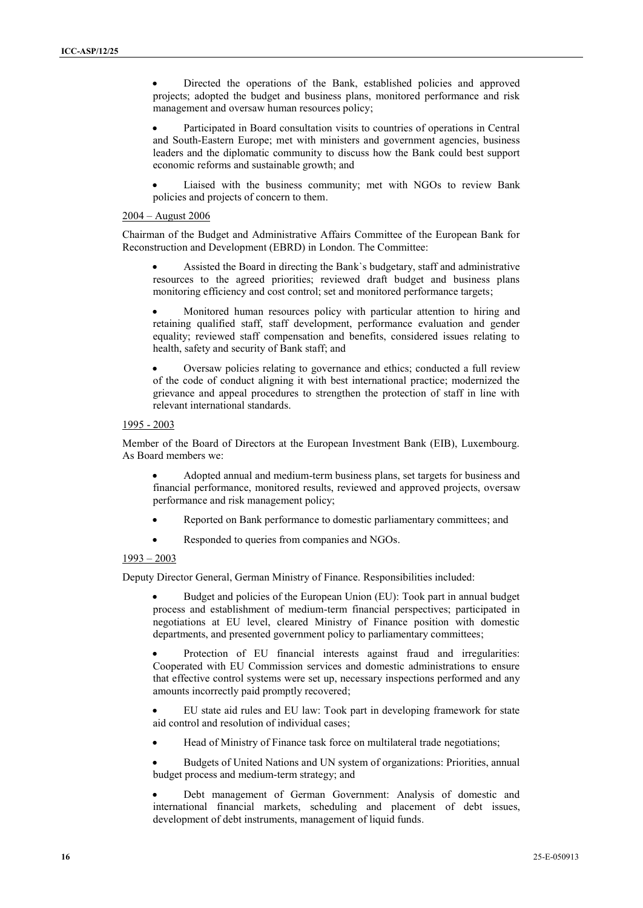Directed the operations of the Bank, established policies and approved projects; adopted the budget and business plans, monitored performance and risk management and oversaw human resources policy;

 Participated in Board consultation visits to countries of operations in Central and South-Eastern Europe; met with ministers and government agencies, business leaders and the diplomatic community to discuss how the Bank could best support economic reforms and sustainable growth; and

 Liaised with the business community; met with NGOs to review Bank policies and projects of concern to them.

#### 2004 – August 2006

Chairman of the Budget and Administrative Affairs Committee of the European Bank for Reconstruction and Development (EBRD) in London. The Committee:

 Assisted the Board in directing the Bank`s budgetary, staff and administrative resources to the agreed priorities; reviewed draft budget and business plans monitoring efficiency and cost control; set and monitored performance targets;

 Monitored human resources policy with particular attention to hiring and retaining qualified staff, staff development, performance evaluation and gender equality; reviewed staff compensation and benefits, considered issues relating to health, safety and security of Bank staff; and

 Oversaw policies relating to governance and ethics; conducted a full review of the code of conduct aligning it with best international practice; modernized the grievance and appeal procedures to strengthen the protection of staff in line with relevant international standards.

## 1995 - 2003

Member of the Board of Directors at the European Investment Bank (EIB), Luxembourg. As Board members we:

 Adopted annual and medium-term business plans, set targets for business and financial performance, monitored results, reviewed and approved projects, oversaw performance and risk management policy;

- Reported on Bank performance to domestic parliamentary committees; and
- Responded to queries from companies and NGOs.

#### 1993 – 2003

Deputy Director General, German Ministry of Finance. Responsibilities included:

 Budget and policies of the European Union (EU): Took part in annual budget process and establishment of medium-term financial perspectives; participated in negotiations at EU level, cleared Ministry of Finance position with domestic departments, and presented government policy to parliamentary committees;

 Protection of EU financial interests against fraud and irregularities: Cooperated with EU Commission services and domestic administrations to ensure that effective control systems were set up, necessary inspections performed and any amounts incorrectly paid promptly recovered;

 EU state aid rules and EU law: Took part in developing framework for state aid control and resolution of individual cases;

Head of Ministry of Finance task force on multilateral trade negotiations;

 Budgets of United Nations and UN system of organizations: Priorities, annual budget process and medium-term strategy; and

 Debt management of German Government: Analysis of domestic and international financial markets, scheduling and placement of debt issues, development of debt instruments, management of liquid funds.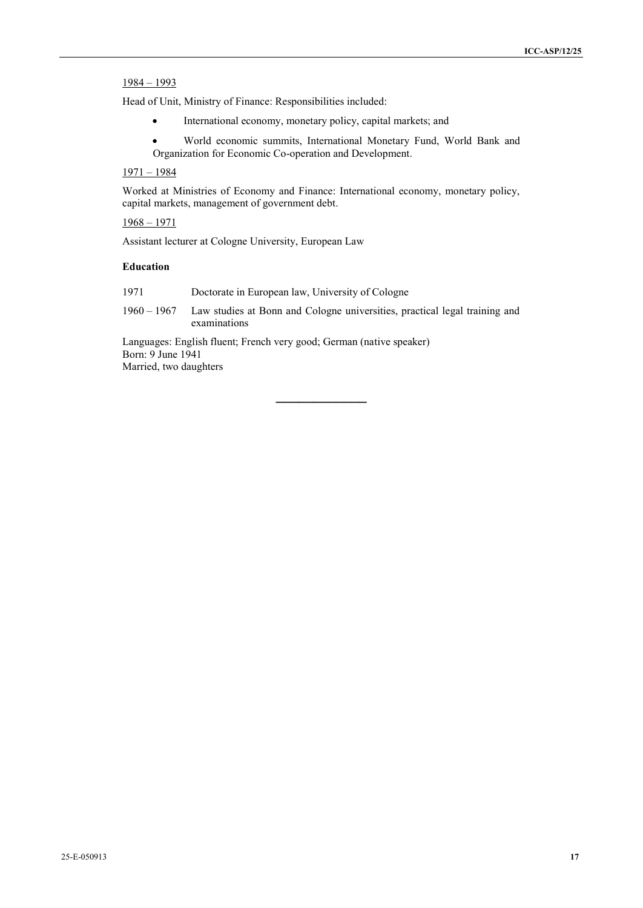## 1984 – 1993

Head of Unit, Ministry of Finance: Responsibilities included:

- International economy, monetary policy, capital markets; and
- World economic summits, International Monetary Fund, World Bank and Organization for Economic Co-operation and Development.

## 1971 – 1984

Worked at Ministries of Economy and Finance: International economy, monetary policy, capital markets, management of government debt.

1968 – 1971

Assistant lecturer at Cologne University, European Law

### **Education**

1971 Doctorate in European law, University of Cologne

1960 – 1967 Law studies at Bonn and Cologne universities, practical legal training and examinations

Languages: English fluent; French very good; German (native speaker) Born: 9 June 1941 Married, two daughters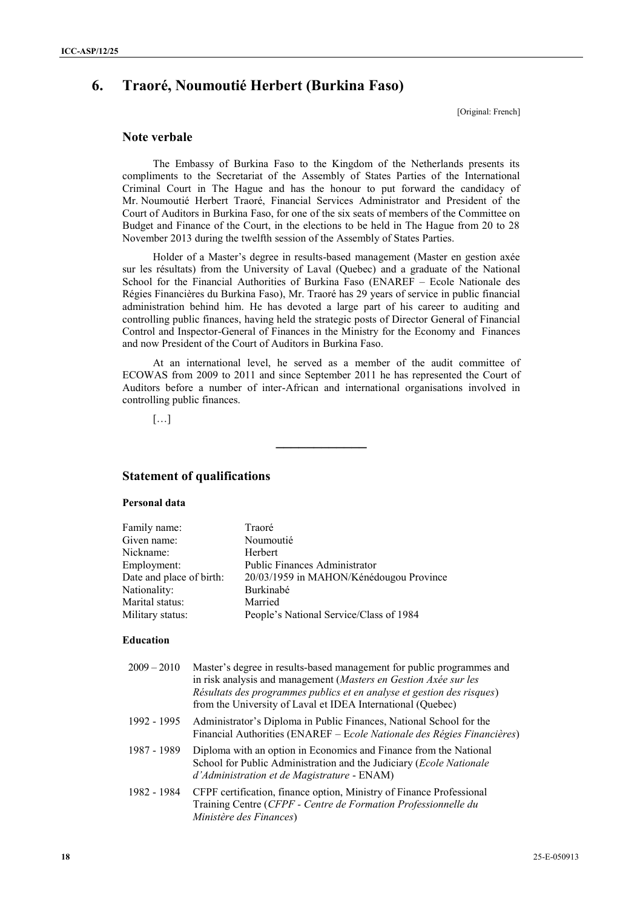## **6. Traoré, Noumoutié Herbert (Burkina Faso)**

[Original: French]

## **Note verbale**

The Embassy of Burkina Faso to the Kingdom of the Netherlands presents its compliments to the Secretariat of the Assembly of States Parties of the International Criminal Court in The Hague and has the honour to put forward the candidacy of Mr. Noumoutié Herbert Traoré, Financial Services Administrator and President of the Court of Auditors in Burkina Faso, for one of the six seats of members of the Committee on Budget and Finance of the Court, in the elections to be held in The Hague from 20 to 28 November 2013 during the twelfth session of the Assembly of States Parties.

Holder of a Master's degree in results-based management (Master en gestion axée sur les résultats) from the University of Laval (Quebec) and a graduate of the National School for the Financial Authorities of Burkina Faso (ENAREF – Ecole Nationale des Régies Financières du Burkina Faso), Mr. Traoré has 29 years of service in public financial administration behind him. He has devoted a large part of his career to auditing and controlling public finances, having held the strategic posts of Director General of Financial Control and Inspector-General of Finances in the Ministry for the Economy and Finances and now President of the Court of Auditors in Burkina Faso.

At an international level, he served as a member of the audit committee of ECOWAS from 2009 to 2011 and since September 2011 he has represented the Court of Auditors before a number of inter-African and international organisations involved in controlling public finances.

**\_\_\_\_\_\_\_\_\_\_\_\_**

[…]

## **Statement of qualifications**

### **Personal data**

| Family name:             | Traoré                                  |
|--------------------------|-----------------------------------------|
| Given name:              | Noumoutié                               |
| Nickname:                | Herbert                                 |
| Employment:              | <b>Public Finances Administrator</b>    |
| Date and place of birth: | 20/03/1959 in MAHON/Kénédougou Province |
| Nationality:             | Burkinabé                               |
| Marital status:          | Married                                 |
| Military status:         | People's National Service/Class of 1984 |
| Education                |                                         |

| $2009 - 2010$ | Master's degree in results-based management for public programmes and<br>in risk analysis and management (Masters en Gestion Axée sur les<br>Résultats des programmes publics et en analyse et gestion des risques)<br>from the University of Laval et IDEA International (Quebec) |
|---------------|------------------------------------------------------------------------------------------------------------------------------------------------------------------------------------------------------------------------------------------------------------------------------------|
| 1992 - 1995   | Administrator's Diploma in Public Finances, National School for the<br>Financial Authorities (ENAREF – Ecole Nationale des Régies Financières)                                                                                                                                     |
| 1987 - 1989   | Diploma with an option in Economics and Finance from the National<br>School for Public Administration and the Judiciary (Ecole Nationale<br>d'Administration et de Magistrature - ENAM)                                                                                            |
| 1982 - 1984   | CFPF certification, finance option, Ministry of Finance Professional<br>Training Centre (CFPF - Centre de Formation Professionnelle du<br>Ministère des Finances)                                                                                                                  |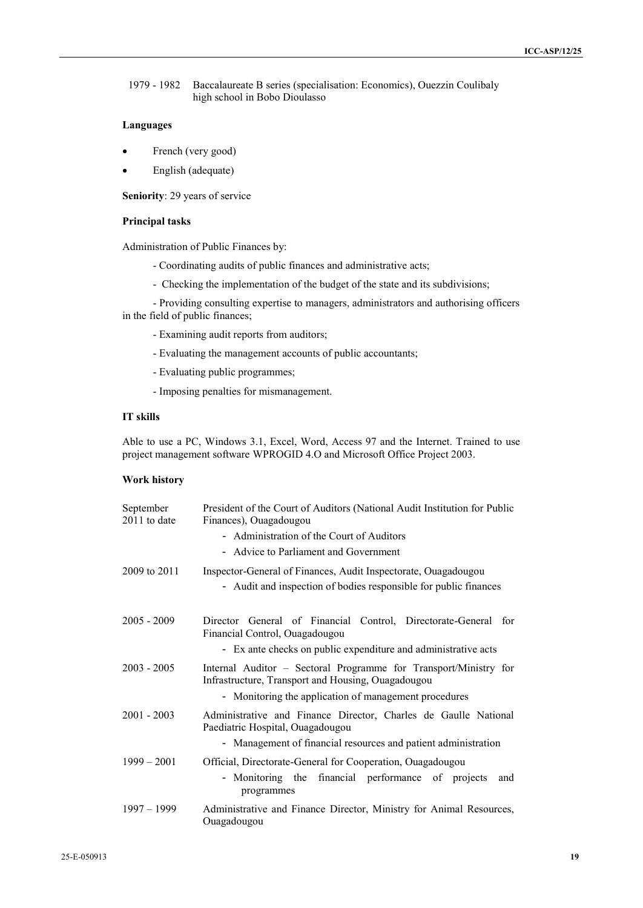1979 - 1982 Baccalaureate B series (specialisation: Economics), Ouezzin Coulibaly high school in Bobo Dioulasso

## **Languages**

- French (very good)
- English (adequate)

**Seniority**: 29 years of service

### **Principal tasks**

Administration of Public Finances by:

- Coordinating audits of public finances and administrative acts;
- Checking the implementation of the budget of the state and its subdivisions;

- Providing consulting expertise to managers, administrators and authorising officers in the field of public finances;

- Examining audit reports from auditors;
- Evaluating the management accounts of public accountants;
- Evaluating public programmes;
- Imposing penalties for mismanagement.

### **IT skills**

Able to use a PC, Windows 3.1, Excel, Word, Access 97 and the Internet. Trained to use project management software WPROGID 4.O and Microsoft Office Project 2003.

## **Work history**

| September<br>2011 to date | President of the Court of Auditors (National Audit Institution for Public<br>Finances), Ouagadougou                    |
|---------------------------|------------------------------------------------------------------------------------------------------------------------|
|                           | - Administration of the Court of Auditors                                                                              |
|                           | - Advice to Parliament and Government                                                                                  |
| 2009 to 2011              | Inspector-General of Finances, Audit Inspectorate, Ouagadougou                                                         |
|                           | - Audit and inspection of bodies responsible for public finances                                                       |
|                           |                                                                                                                        |
| $2005 - 2009$             | Director General of Financial Control, Directorate-General for<br>Financial Control, Ouagadougou                       |
|                           | - Ex ante checks on public expenditure and administrative acts                                                         |
| $2003 - 2005$             | Internal Auditor – Sectoral Programme for Transport/Ministry for<br>Infrastructure, Transport and Housing, Ouagadougou |
|                           | - Monitoring the application of management procedures                                                                  |
| $2001 - 2003$             | Administrative and Finance Director, Charles de Gaulle National<br>Paediatric Hospital, Ouagadougou                    |
|                           | - Management of financial resources and patient administration                                                         |
| $1999 - 2001$             | Official, Directorate-General for Cooperation, Ouagadougou                                                             |
|                           | - Monitoring the financial performance of projects<br>and<br>programmes                                                |
| $1997 - 1999$             | Administrative and Finance Director, Ministry for Animal Resources,<br>Ouagadougou                                     |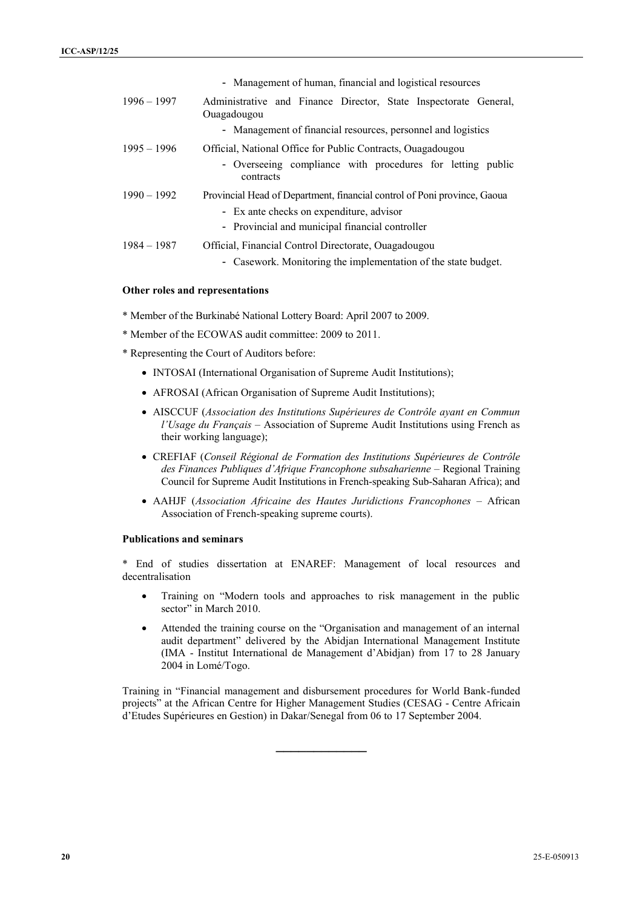|               | - Management of human, financial and logistical resources                                                                                                               |
|---------------|-------------------------------------------------------------------------------------------------------------------------------------------------------------------------|
| $1996 - 1997$ | Administrative and Finance Director, State Inspectorate General,<br>Ouagadougou                                                                                         |
|               | - Management of financial resources, personnel and logistics                                                                                                            |
| $1995 - 1996$ | Official, National Office for Public Contracts, Ouagadougou<br>- Overseeing compliance with procedures for letting public<br>contracts                                  |
| $1990 - 1992$ | Provincial Head of Department, financial control of Poni province, Gaoua<br>- Ex ante checks on expenditure, advisor<br>- Provincial and municipal financial controller |
| $1984 - 1987$ | Official, Financial Control Directorate, Ouagadougou<br>- Casework. Monitoring the implementation of the state budget.                                                  |

#### **Other roles and representations**

- \* Member of the Burkinabé National Lottery Board: April 2007 to 2009.
- \* Member of the ECOWAS audit committee: 2009 to 2011.
- \* Representing the Court of Auditors before:
	- INTOSAI (International Organisation of Supreme Audit Institutions);
	- AFROSAI (African Organisation of Supreme Audit Institutions);
	- AISCCUF (*Association des Institutions Supérieures de Contrôle ayant en Commun l'Usage du Français* – Association of Supreme Audit Institutions using French as their working language);
	- CREFIAF (*Conseil Régional de Formation des Institutions Supérieures de Contrôle des Finances Publiques d'Afrique Francophone subsaharienne* – Regional Training Council for Supreme Audit Institutions in French-speaking Sub-Saharan Africa); and
	- AAHJF (*Association Africaine des Hautes Juridictions Francophones* African Association of French-speaking supreme courts).

#### **Publications and seminars**

\* End of studies dissertation at ENAREF: Management of local resources and decentralisation

- Training on "Modern tools and approaches to risk management in the public sector" in March 2010.
- Attended the training course on the "Organisation and management of an internal audit department" delivered by the Abidjan International Management Institute (IMA - Institut International de Management d'Abidjan) from 17 to 28 January 2004 in Lomé/Togo.

Training in "Financial management and disbursement procedures for World Bank-funded projects" at the African Centre for Higher Management Studies (CESAG - Centre Africain d'Etudes Supérieures en Gestion) in Dakar/Senegal from 06 to 17 September 2004.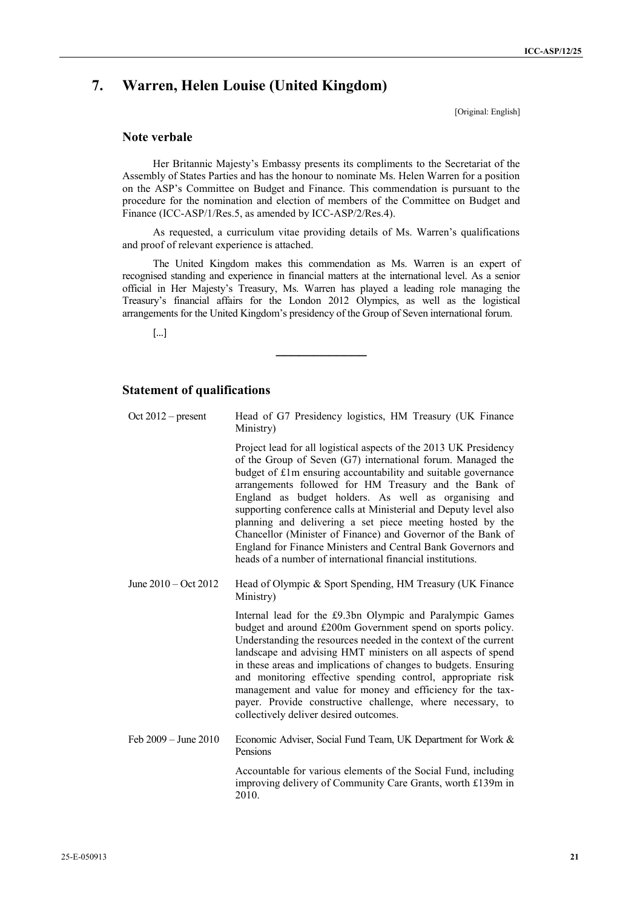## **7. Warren, Helen Louise (United Kingdom)**

[Original: English]

## **Note verbale**

Her Britannic Majesty's Embassy presents its compliments to the Secretariat of the Assembly of States Parties and has the honour to nominate Ms. Helen Warren for a position on the ASP's Committee on Budget and Finance. This commendation is pursuant to the procedure for the nomination and election of members of the Committee on Budget and Finance (ICC-ASP/1/Res.5, as amended by ICC-ASP/2/Res.4).

As requested, a curriculum vitae providing details of Ms. Warren's qualifications and proof of relevant experience is attached.

The United Kingdom makes this commendation as Ms. Warren is an expert of recognised standing and experience in financial matters at the international level. As a senior official in Her Majesty's Treasury, Ms. Warren has played a leading role managing the Treasury's financial affairs for the London 2012 Olympics, as well as the logistical arrangements for the United Kingdom's presidency of the Group of Seven international forum.

[…]

## **Statement of qualifications**

| Oct $2012$ – present           | Head of G7 Presidency logistics, HM Treasury (UK Finance<br>Ministry)                                                                                                                                                                                                                                                                                                                                                                                                                                                                                                                                                                             |
|--------------------------------|---------------------------------------------------------------------------------------------------------------------------------------------------------------------------------------------------------------------------------------------------------------------------------------------------------------------------------------------------------------------------------------------------------------------------------------------------------------------------------------------------------------------------------------------------------------------------------------------------------------------------------------------------|
|                                | Project lead for all logistical aspects of the 2013 UK Presidency<br>of the Group of Seven (G7) international forum. Managed the<br>budget of £1m ensuring accountability and suitable governance<br>arrangements followed for HM Treasury and the Bank of<br>England as budget holders. As well as organising and<br>supporting conference calls at Ministerial and Deputy level also<br>planning and delivering a set piece meeting hosted by the<br>Chancellor (Minister of Finance) and Governor of the Bank of<br>England for Finance Ministers and Central Bank Governors and<br>heads of a number of international financial institutions. |
| June $2010 - \text{Oct } 2012$ | Head of Olympic & Sport Spending, HM Treasury (UK Finance<br>Ministry)                                                                                                                                                                                                                                                                                                                                                                                                                                                                                                                                                                            |
|                                | Internal lead for the £9.3bn Olympic and Paralympic Games<br>budget and around £200m Government spend on sports policy.<br>Understanding the resources needed in the context of the current<br>landscape and advising HMT ministers on all aspects of spend<br>in these areas and implications of changes to budgets. Ensuring<br>and monitoring effective spending control, appropriate risk<br>management and value for money and efficiency for the tax-<br>payer. Provide constructive challenge, where necessary, to<br>collectively deliver desired outcomes.                                                                               |
| Feb $2009 -$ June $2010$       | Economic Adviser, Social Fund Team, UK Department for Work &<br>Pensions                                                                                                                                                                                                                                                                                                                                                                                                                                                                                                                                                                          |
|                                | Accountable for various elements of the Social Fund, including<br>improving delivery of Community Care Grants, worth £139m in<br>2010.                                                                                                                                                                                                                                                                                                                                                                                                                                                                                                            |